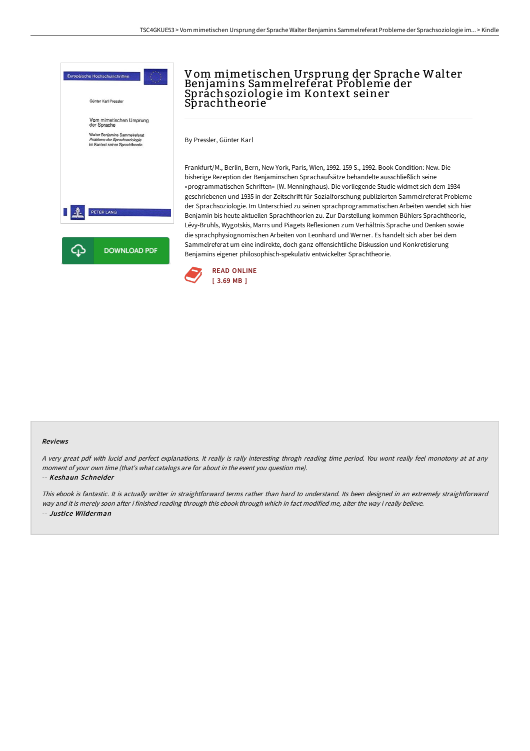

# Vom mimetischen Ursprung der Sprache Walter Benjamins Sammel referat Probleme der Sprachsoziologie im Kontext seiner Sprachtheorie<sup>'</sup>

By Pressler, Günter Karl

Frankfurt/M., Berlin, Bern, New York, Paris, Wien, 1992. 159 S., 1992. Book Condition: New. Die bisherige Rezeption der Benjaminschen Sprachaufsätze behandelte ausschließlich seine «programmatischen Schriften» (W. Menninghaus). Die vorliegende Studie widmet sich dem 1934 geschriebenen und 1935 in der Zeitschrift für Sozialforschung publizierten Sammelreferat Probleme der Sprachsoziologie. Im Unterschied zu seinen sprachprogrammatischen Arbeiten wendet sich hier Benjamin bis heute aktuellen Sprachtheorien zu. Zur Darstellung kommen Bühlers Sprachtheorie, Lévy-Bruhls, Wygotskis, Marrs und Piagets Reflexionen zum Verhältnis Sprache und Denken sowie die sprachphysiognomischen Arbeiten von Leonhard und Werner. Es handelt sich aber bei dem Sammelreferat um eine indirekte, doch ganz offensichtliche Diskussion und Konkretisierung Benjamins eigener philosophisch-spekulativ entwickelter Sprachtheorie.



#### Reviews

A very great pdf with lucid and perfect explanations. It really is rally interesting throgh reading time period. You wont really feel monotony at at any moment of your own time (that's what catalogs are for about in the event you question me).

#### -- Keshaun Schneider

This ebook is fantastic. It is actually writter in straightforward terms rather than hard to understand. Its been designed in an extremely straightforward way and it is merely soon after i finished reading through this ebook through which in fact modified me, alter the way i really believe. -- Justice Wilderman